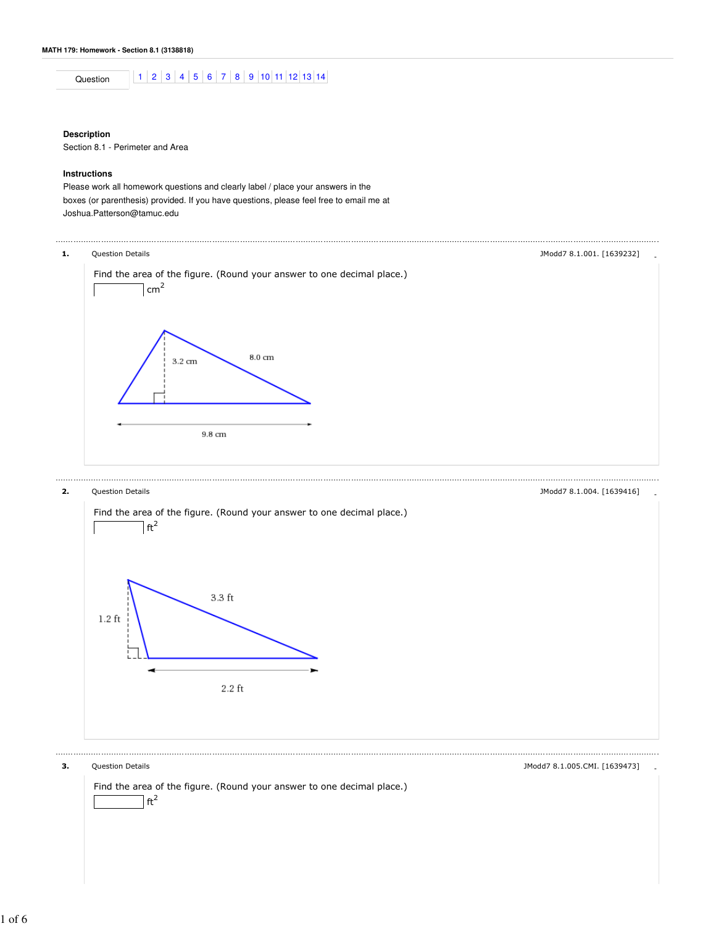Question 1 2 3 4 5 6 7 8 9 10 11 12 13 14

## **Description**

Section 8.1 - Perimeter and Area

## **Instructions**

Please work all homework questions and clearly label / place your answers in the boxes (or parenthesis) provided. If you have questions, please feel free to email me at Joshua.Patterson@tamuc.edu





## **3.** Question Details **All 2008** Control of the set of the set of the set of the set of the set of the set of the set of the set of the set of the set of the set of the set of the set of the set of the set of the set of th

Find the area of the figure. (Round your answer to one decimal place.)  $\mathsf{a}$ ft<sup>2</sup>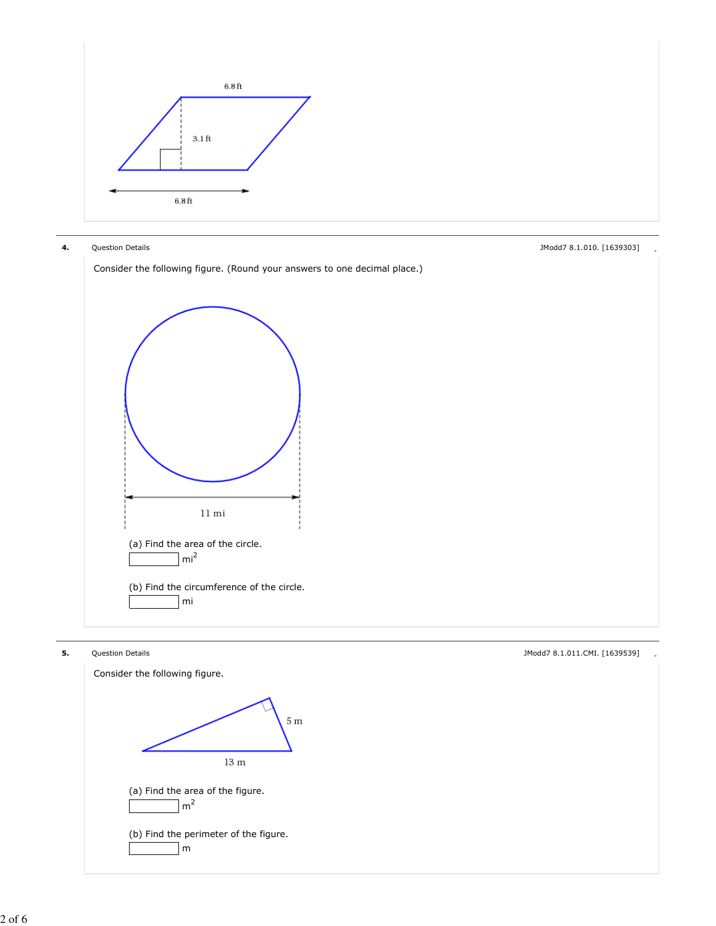



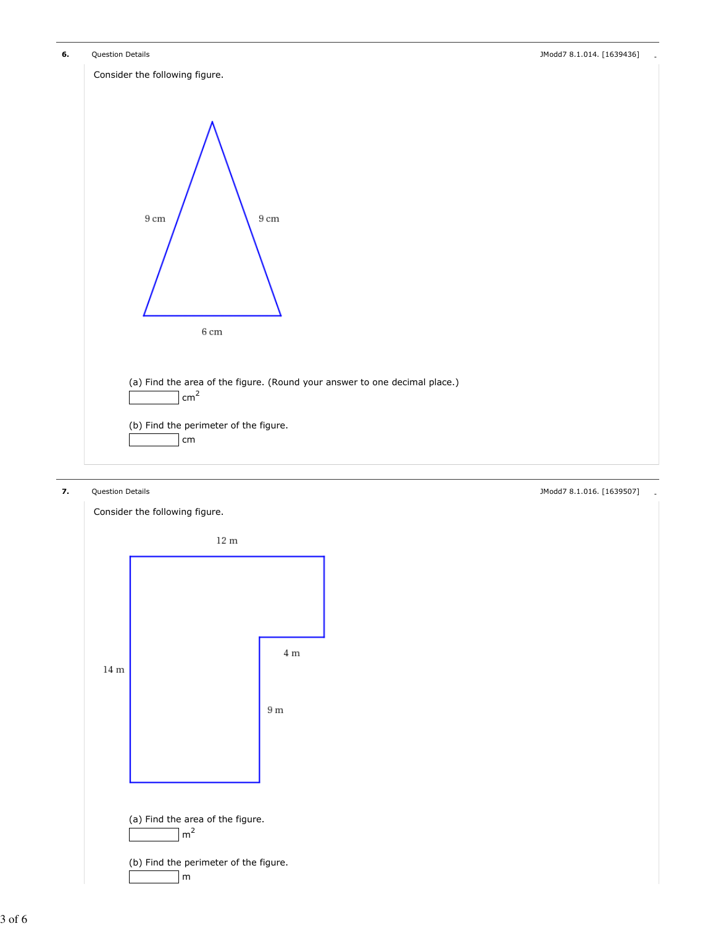

![](_page_2_Figure_2.jpeg)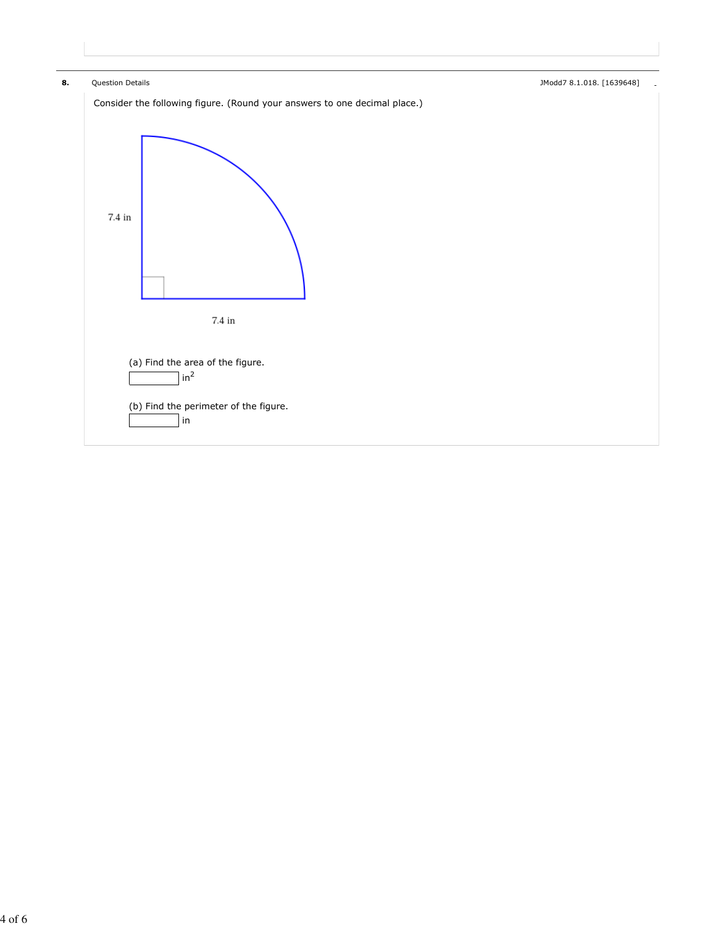![](_page_3_Figure_0.jpeg)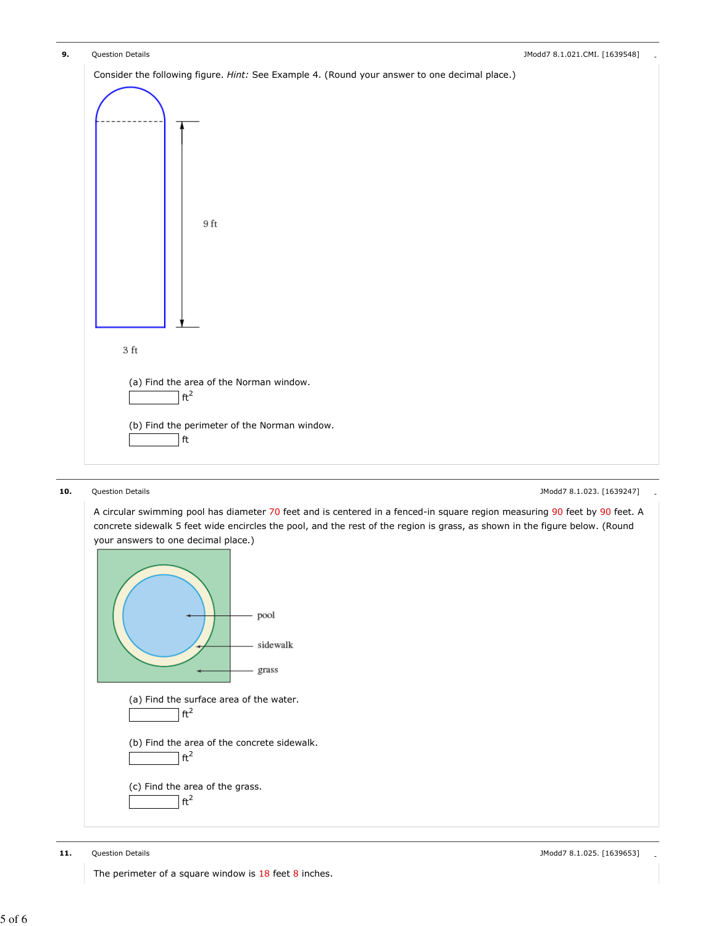![](_page_4_Figure_0.jpeg)

![](_page_4_Figure_2.jpeg)

A circular swimming pool has diameter 70 feet and is centered in a fenced-in square region measuring 90 feet by 90 feet. A concrete sidewalk 5 feet wide encircles the pool, and the rest of the region is grass, as shown in the figure below. (Round

![](_page_4_Figure_4.jpeg)

The perimeter of a square window is 18 feet 8 inches.